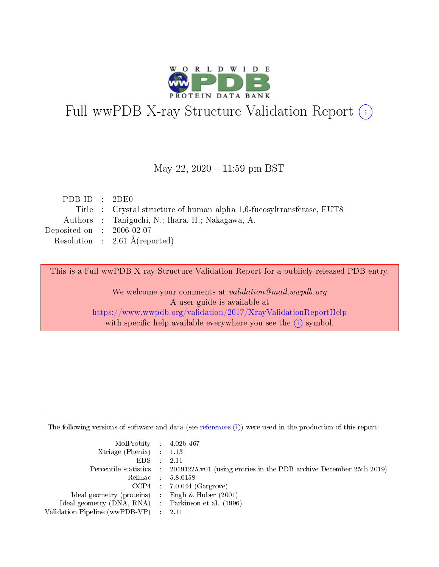

# Full wwPDB X-ray Structure Validation Report (i)

#### May 22,  $2020 - 11:59$  pm BST

| PDBID : 2DE0                |                                                                       |
|-----------------------------|-----------------------------------------------------------------------|
|                             | Title : Crystal structure of human alpha 1,6-fucosyltransferase, FUT8 |
|                             | Authors : Taniguchi, N.; Ihara, H.; Nakagawa, A.                      |
| Deposited on : $2006-02-07$ |                                                                       |
|                             | Resolution : $2.61 \text{ Å}$ (reported)                              |

This is a Full wwPDB X-ray Structure Validation Report for a publicly released PDB entry.

We welcome your comments at validation@mail.wwpdb.org A user guide is available at <https://www.wwpdb.org/validation/2017/XrayValidationReportHelp> with specific help available everywhere you see the  $(i)$  symbol.

The following versions of software and data (see [references](https://www.wwpdb.org/validation/2017/XrayValidationReportHelp#references)  $(i)$ ) were used in the production of this report:

| $MolProbability$ 4.02b-467                          |                                                                                            |
|-----------------------------------------------------|--------------------------------------------------------------------------------------------|
| Xtriage (Phenix) $: 1.13$                           |                                                                                            |
| $EDS$ :                                             | -2.11                                                                                      |
|                                                     | Percentile statistics : 20191225.v01 (using entries in the PDB archive December 25th 2019) |
|                                                     | Refmac : 5.8.0158                                                                          |
|                                                     | $CCP4$ : 7.0.044 (Gargrove)                                                                |
| Ideal geometry (proteins) : Engh $\&$ Huber (2001)  |                                                                                            |
| Ideal geometry (DNA, RNA) : Parkinson et al. (1996) |                                                                                            |
| Validation Pipeline (wwPDB-VP)                      | -2.11                                                                                      |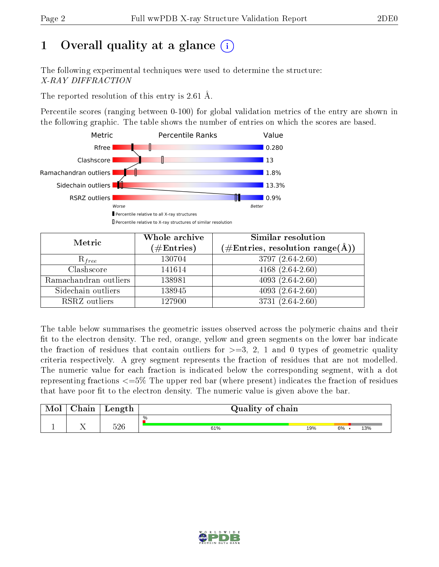# 1 [O](https://www.wwpdb.org/validation/2017/XrayValidationReportHelp#overall_quality)verall quality at a glance  $(i)$

The following experimental techniques were used to determine the structure: X-RAY DIFFRACTION

The reported resolution of this entry is 2.61 Å.

Percentile scores (ranging between 0-100) for global validation metrics of the entry are shown in the following graphic. The table shows the number of entries on which the scores are based.



| Metric                | Whole archive        | Similar resolution                                                        |
|-----------------------|----------------------|---------------------------------------------------------------------------|
|                       | $(\#\text{Entries})$ | $\phi^{\prime}\#\mathrm{Entries}, \mathrm{resolution~range}(\mathrm{A}).$ |
| $R_{free}$            | 130704               | 3797 (2.64-2.60)                                                          |
| Clashscore            | 141614               | $4168(2.64-2.60)$                                                         |
| Ramachandran outliers | 138981               | 4093 $(2.64 - 2.60)$                                                      |
| Sidechain outliers    | 138945               | $4093(2.64-2.60)$                                                         |
| RSRZ outliers         | 127900               | $3731(2.64-2.60)$                                                         |

The table below summarises the geometric issues observed across the polymeric chains and their fit to the electron density. The red, orange, yellow and green segments on the lower bar indicate the fraction of residues that contain outliers for  $>=3, 2, 1$  and 0 types of geometric quality criteria respectively. A grey segment represents the fraction of residues that are not modelled. The numeric value for each fraction is indicated below the corresponding segment, with a dot representing fractions  $\epsilon=5\%$  The upper red bar (where present) indicates the fraction of residues that have poor fit to the electron density. The numeric value is given above the bar.

| ${\bf Chain}$ | Length | Quality of chain |     |           |  |  |  |
|---------------|--------|------------------|-----|-----------|--|--|--|
|               | 526    | %<br>61%         | 19% | 13%<br>6% |  |  |  |

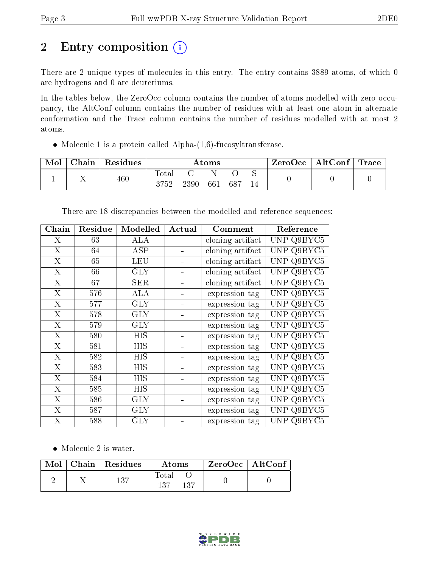# 2 Entry composition (i)

There are 2 unique types of molecules in this entry. The entry contains 3889 atoms, of which 0 are hydrogens and 0 are deuteriums.

In the tables below, the ZeroOcc column contains the number of atoms modelled with zero occupancy, the AltConf column contains the number of residues with at least one atom in alternate conformation and the Trace column contains the number of residues modelled with at most 2 atoms.

• Molecule 1 is a protein called Alpha- $(1,6)$ -fucosyltransferase.

| Mol | Chain | Residues | Atoms |      |     |     |   | ZeroOcc | $\vert$ AltConf $\vert$ | $\mid$ Trace $\mid$ |
|-----|-------|----------|-------|------|-----|-----|---|---------|-------------------------|---------------------|
|     | . .   | 460      | Totar |      |     |     | ◡ |         |                         |                     |
|     |       |          | 3752  | 2390 | 661 | 687 |   |         |                         |                     |

| ${\bf Chain}$           | Residue | Modelled   | Actual | Comment          | Reference            |
|-------------------------|---------|------------|--------|------------------|----------------------|
| X                       | 63      | ALA        |        | cloning artifact | UNP Q9BYC5           |
| $\overline{\mathrm{X}}$ | 64      | ASP        |        | cloning artifact | <b>UNP</b><br>Q9BYC5 |
| X                       | 65      | <b>LEU</b> |        | cloning artifact | <b>UNP</b><br>Q9BYC5 |
| X                       | 66      | <b>GLY</b> |        | cloning artifact | <b>UNP</b><br>Q9BYC5 |
| $\overline{X}$          | 67      | <b>SER</b> |        | cloning artifact | Q9BYC5<br><b>UNP</b> |
| X                       | 576     | ALA        |        | expression tag   | Q9BYC5<br><b>UNP</b> |
| $\overline{\mathrm{X}}$ | 577     | <b>GLY</b> |        | expression tag   | <b>UNP</b><br>Q9BYC5 |
| X                       | 578     | <b>GLY</b> |        | expression tag   | <b>UNP</b><br>Q9BYC5 |
| X                       | 579     | <b>GLY</b> |        | expression tag   | Q9BYC5<br><b>UNP</b> |
| X                       | 580     | HIS        |        | expression tag   | <b>UNP</b><br>Q9BYC5 |
| X                       | 581     | HIS        |        | expression tag   | <b>UNP</b><br>Q9BYC5 |
| X                       | 582     | HIS        |        | expression tag   | Q9BYC5<br><b>UNP</b> |
| X                       | 583     | HIS        |        | expression tag   | <b>UNP</b><br>Q9BYC5 |
| X                       | 584     | HIS        |        | expression tag   | Q9BYC5<br>UNP        |
| X                       | 585     | HIS        |        | expression tag   | Q9BYC5<br>UNP        |
| X                       | 586     | GLY        |        | expression tag   | Q9BYC5<br>UNP        |
| X                       | 587     | GLY        |        | expression tag   | UNP<br>Q9BYC5        |
| X                       | 588     | <b>GLY</b> |        | expression tag   | UNP Q9BYC5           |

There are 18 discrepancies between the modelled and reference sequences:

• Molecule 2 is water.

|  | $\text{Mol}$   Chain   Residues | Atoms         |      | ZeroOcc   AltConf |  |
|--|---------------------------------|---------------|------|-------------------|--|
|  | 137                             | Total<br>137. | -137 |                   |  |

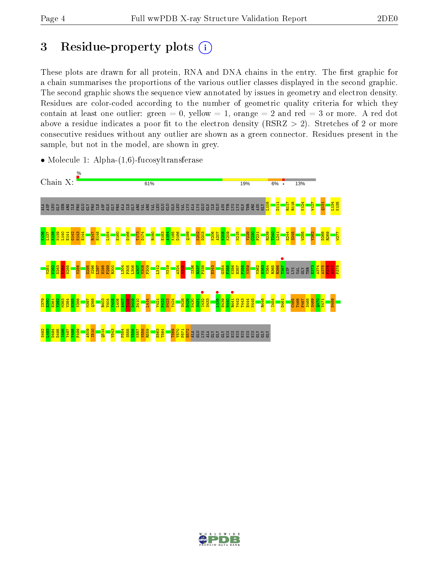## 3 Residue-property plots  $(i)$

These plots are drawn for all protein, RNA and DNA chains in the entry. The first graphic for a chain summarises the proportions of the various outlier classes displayed in the second graphic. The second graphic shows the sequence view annotated by issues in geometry and electron density. Residues are color-coded according to the number of geometric quality criteria for which they contain at least one outlier: green  $= 0$ , yellow  $= 1$ , orange  $= 2$  and red  $= 3$  or more. A red dot above a residue indicates a poor fit to the electron density (RSRZ  $> 2$ ). Stretches of 2 or more consecutive residues without any outlier are shown as a green connector. Residues present in the sample, but not in the model, are shown in grey.



• Molecule 1: Alpha-(1,6)-fucosyltransferase

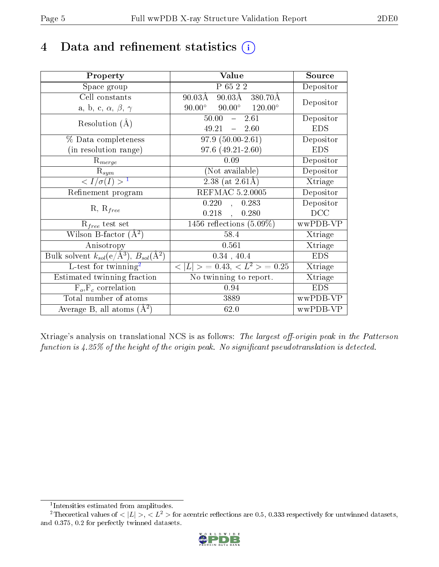# 4 Data and refinement statistics  $(i)$

| Property                                                              | Value                                                    | Source     |
|-----------------------------------------------------------------------|----------------------------------------------------------|------------|
| Space group                                                           | P 65 2 2                                                 | Depositor  |
| Cell constants                                                        | 90.03Å 380.70Å<br>$90.03\text{\AA}$                      | Depositor  |
| a, b, c, $\alpha$ , $\beta$ , $\gamma$                                | $90.00^{\circ}$ $90.00^{\circ}$ $120.00^{\circ}$         |            |
| Resolution $(A)$                                                      | $-2.61$<br>50.00                                         | Depositor  |
|                                                                       | 49.21<br>$-2.60$                                         | <b>EDS</b> |
| % Data completeness                                                   | $97.9(50.00-2.61)$                                       | Depositor  |
| (in resolution range)                                                 | $97.6(49.21-2.60)$                                       | <b>EDS</b> |
| $R_{merge}$                                                           | 0.09                                                     | Depositor  |
| $\mathbf{R}_{sym}$                                                    | (Not available)                                          | Depositor  |
| $\langle I/\sigma(I) \rangle^{-1}$                                    | $2.38$ (at $2.61\text{\AA}$ )                            | Xtriage    |
| Refinement program                                                    | REFMAC 5.2.0005                                          | Depositor  |
| $R, R_{free}$                                                         | 0.220<br>0.283<br>$\mathcal{L}_{\mathcal{A}}$            | Depositor  |
|                                                                       | 0.218<br>0.280<br>$\mathbf{A}$                           | DCC        |
| $R_{free}$ test set                                                   | 1456 reflections $(5.09\%)$                              | wwPDB-VP   |
| Wilson B-factor $(A^2)$                                               | 58.4                                                     | Xtriage    |
| Anisotropy                                                            | 0.561                                                    | Xtriage    |
| Bulk solvent $k_{sol}(\text{e}/\text{\AA}^3),\,B_{sol}(\text{\AA}^2)$ | 0.34, 40.4                                               | <b>EDS</b> |
| L-test for $\mathrm{twinning}^2$                                      | $\langle  L  \rangle = 0.43, \langle L^2 \rangle = 0.25$ | Xtriage    |
| Estimated twinning fraction                                           | No twinning to report.                                   | Xtriage    |
| $F_o, F_c$ correlation                                                | 0.94                                                     | <b>EDS</b> |
| Total number of atoms                                                 | 3889                                                     | wwPDB-VP   |
| Average B, all atoms $(A^2)$                                          | 62.0                                                     | wwPDB-VP   |

Xtriage's analysis on translational NCS is as follows: The largest off-origin peak in the Patterson function is  $4.25\%$  of the height of the origin peak. No significant pseudotranslation is detected.

<sup>&</sup>lt;sup>2</sup>Theoretical values of  $\langle |L| \rangle$ ,  $\langle L^2 \rangle$  for acentric reflections are 0.5, 0.333 respectively for untwinned datasets, and 0.375, 0.2 for perfectly twinned datasets.



<span id="page-4-1"></span><span id="page-4-0"></span><sup>1</sup> Intensities estimated from amplitudes.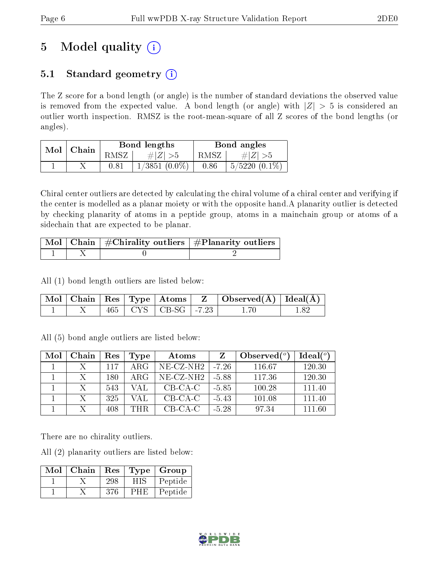# 5 Model quality  $(i)$

## 5.1 Standard geometry  $(i)$

The Z score for a bond length (or angle) is the number of standard deviations the observed value is removed from the expected value. A bond length (or angle) with  $|Z| > 5$  is considered an outlier worth inspection. RMSZ is the root-mean-square of all Z scores of the bond lengths (or angles).

| Mol | Chain |      | Bond lengths    | Bond angles |                   |  |
|-----|-------|------|-----------------|-------------|-------------------|--|
|     |       | RMSZ | # $ Z  > 5$     | RMSZ        | $\# Z  > 5$       |  |
|     |       | 0.81 | $1/3851$ (0.0%) | 0.86        | $5/5220$ $(0.1\%$ |  |

Chiral center outliers are detected by calculating the chiral volume of a chiral center and verifying if the center is modelled as a planar moiety or with the opposite hand.A planarity outlier is detected by checking planarity of atoms in a peptide group, atoms in a mainchain group or atoms of a sidechain that are expected to be planar.

|  | $\lceil \, \text{Mol} \, \rceil$ Chain $\mid \# \text{Chirality outliers} \mid \# \text{Planarity outliers} \mid$ |
|--|-------------------------------------------------------------------------------------------------------------------|
|  |                                                                                                                   |

All (1) bond length outliers are listed below:

|  |  |                             | $\mid$ Mol $\mid$ Chain $\mid$ Res $\mid$ Type $\mid$ Atoms $\mid$ $\mid$ Z $\mid$ Observed(Å) $\mid$ Ideal(Å) $\mid$ |  |
|--|--|-----------------------------|-----------------------------------------------------------------------------------------------------------------------|--|
|  |  | $465$   CYS   CB-SG   -7.23 |                                                                                                                       |  |

All (5) bond angle outliers are listed below:

| Mol | Chain | Res | Type       | Atoms                    |         | Observed $(°)$ | Ideal $(°)$ |
|-----|-------|-----|------------|--------------------------|---------|----------------|-------------|
|     |       | 117 | ARG        | $NE-{\rm CZ\text{-}NH2}$ | -7.26   | 116.67         | 120.30      |
|     |       | 180 | ARG        | $NE- CZ-NH2$             | -5.88   | 117.36         | 120.30      |
|     |       | 543 | VAL        | $CB-CA-C$                | $-5.85$ | 100.28         | 111.40      |
|     |       | 325 | VAL        | $CB-CA-C$                | $-5.43$ | 101.08         | 111.40      |
|     |       | 408 | <b>THR</b> | $CB-CA-C$                | $-5.28$ | 97.34          | 111.60      |

There are no chirality outliers.

All (2) planarity outliers are listed below:

| Mol | Chain | Res |     | $\mid$ Type $\mid$ Group |
|-----|-------|-----|-----|--------------------------|
|     |       | 298 | HIS | Peptide                  |
|     |       | 376 | PHE | Peptide                  |

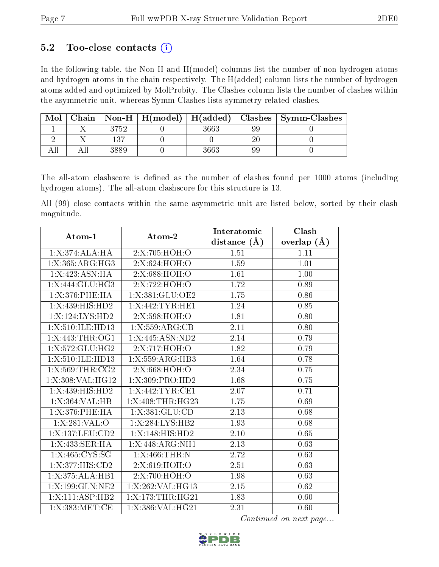### 5.2 Too-close contacts  $(i)$

In the following table, the Non-H and H(model) columns list the number of non-hydrogen atoms and hydrogen atoms in the chain respectively. The H(added) column lists the number of hydrogen atoms added and optimized by MolProbity. The Clashes column lists the number of clashes within the asymmetric unit, whereas Symm-Clashes lists symmetry related clashes.

| Mol | Chain |       |      |    | $\mid$ Non-H $\mid$ H(model) $\mid$ H(added) $\mid$ Clashes $\mid$ Symm-Clashes |
|-----|-------|-------|------|----|---------------------------------------------------------------------------------|
|     |       | 1752. | 3663 | 99 |                                                                                 |
|     |       | 137   |      | ാല |                                                                                 |
|     |       |       | 3663 | 99 |                                                                                 |

The all-atom clashscore is defined as the number of clashes found per 1000 atoms (including hydrogen atoms). The all-atom clashscore for this structure is 13.

All (99) close contacts within the same asymmetric unit are listed below, sorted by their clash magnitude.

| Atom-1             | Atom-2             | Interatomic      | Clash         |
|--------------------|--------------------|------------------|---------------|
|                    |                    | distance $(\AA)$ | overlap $(A)$ |
| 1: X:374:ALA:HA    | 2:X:705:HOH:O      | 1.51             | 1.11          |
| 1:X:365:ARG:HG3    | 2:X:624:HOH:O      | 1.59             | 1.01          |
| 1:X:423:ASN:HA     | 2:X:688:HOH:O      | 1.61             | 1.00          |
| 1:X:444:GLU:HG3    | 2:X:722:HOH:O      | 1.72             | 0.89          |
| 1:X:376:PHE:HA     | 1:X:381:GLU:OE2    | 1.75             | 0.86          |
| 1:X:439:HIS:HD2    | 1:X:442:TYR:HE1    | 1.24             | 0.85          |
| 1:X:124:LYS:HD2    | 2:X:598:HOH:O      | 1.81             | 0.80          |
| 1:X:510:ILE:HD13   | 1:X:559:ARG:CB     | 2.11             | 0.80          |
| 1:X:443:THR:OG1    | 1:X:445:ASN:ND2    | 2.14             | 0.79          |
| 1:X:572:GLU:HG2    | 2:X:717:HOH:O      | 1.82             | 0.79          |
| 1:X:510:ILE:HD13   | 1:X:559:ARG:HB3    | 1.64             | 0.78          |
| 1:X:569:THR:CG2    | 2:X:668:HOH:O      | 2.34             | 0.75          |
| 1:X:308:VAL:HG12   | 1: X:309: PRO:HD2  | 1.68             | 0.75          |
| 1:X:439:HIS:HD2    | 1:X:442:TYR:CE1    | 2.07             | 0.71          |
| 1: X: 364: VAL: HB | 1:X:408:THR:HG23   | $1.75\,$         | 0.69          |
| 1:X:376:PHE:HA     | 1:X:381:GLU:CD     | 2.13             | 0.68          |
| 1:X:281:VAL:O      | 1:X:284:LYS:HB2    | 1.93             | 0.68          |
| 1:X:137:LEU:CD2    | 1: X:148: HIS: HD2 | $2.10\,$         | 0.65          |
| 1:X:433:SER:HA     | 1:X:448:ARG:NH1    | 2.13             | 0.63          |
| 1:X:465:CYS:SG     | 1:X:466:THR:N      | 2.72             | 0.63          |
| 1:X:377:HIS:CD2    | 2:X:619:HOH:O      | 2.51             | 0.63          |
| 1:X:375:ALA:HB1    | 2:X:700:HOH:O      | 1.98             | 0.63          |
| 1:X:199:GLN:NE2    | 1:X:262:VAL:HG13   | 2.15             | 0.62          |
| 1:X:111:ASP:HB2    | 1:X:173:THR:HG21   | 1.83             | 0.60          |
| 1:X:383:MET:CE     | 1:X:386:VAL:HG21   | 2.31             | 0.60          |

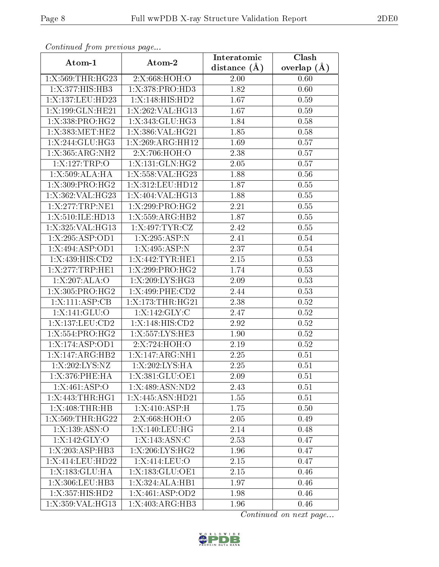| Continued from previous page |                              | Interatomic    | Clash         |
|------------------------------|------------------------------|----------------|---------------|
| Atom-1                       | Atom-2                       | distance $(A)$ | overlap $(A)$ |
| 1:X:569:THR:HG23             | 2:X:668:HOH:O                | 2.00           | 0.60          |
| 1:X:377:HIS:HB3              | 1: X:378: PRO:HD3            | 1.82           | 0.60          |
| 1:X:137:LEU:HD23             | 1:X:148:HIS:HD2              | 1.67           | 0.59          |
| 1:X:199:GLN:HE21             | 1:X:262:VAL:HG13             | 1.67           | 0.59          |
| 1: X: 338: PRO:HG2           | 1:X:343:GLU:HG3              | 1.84           | 0.58          |
| 1:X:383:MET:HE2              | 1:X:386:VAL:HG21             | 1.85           | 0.58          |
| 1:X:244:GLU:HG3              | 1:X:269:ARG:HH12             | 1.69           | 0.57          |
| 1:X:365:ARG:NH2              | 2:X:706:HOH:O                | 2.38           | 0.57          |
| 1:X:127:TRP:O                | 1:X:131:GLN:HG2              | 2.05           | 0.57          |
| 1:X:509:ALA:HA               | 1:X:558:VAL:HG23             | 1.88           | 0.56          |
| 1:X:309:PRO:HG2              | 1:X:312:LEU:HD12             | 1.87           | 0.55          |
| 1:X:362:VAL:HG23             | 1:X:404:VAL:HG13             | 1.88           | 0.55          |
| 1:X:277:TRP:NE1              | 1:X:299:PRO:HG2              | 2.21           | 0.55          |
| 1:X:510:ILE:HD13             | 1:X:559:ARG:HB2              | 1.87           | 0.55          |
| 1:X:325:VAL:HG13             | $1:X:497:TYR: \overline{CZ}$ | 2.42           | 0.55          |
| 1:X:295:ASP:OD1              | 1:X:295:ASP:N                | 2.41           | 0.54          |
| 1:X:494:ASP:OD1              | 1:X:495:ASP:N                | 2.37           | 0.54          |
| 1:X:439:HIS:CD2              | 1:X:442:TYR:HE1              | 2.15           | 0.53          |
| 1:X:277:TRP:HE1              | 1:X:299:PRO:HG2              | 1.74           | 0.53          |
| 1:X:207:ALA:O                | 1:X:209:LYS:HG3              | 2.09           | 0.53          |
| 1:X:305:PRO:HG2              | 1:X:499:PHE:CD2              | 2.44           | 0.53          |
| $1:X:\overline{111:ASP:CB}$  | 1:X:173:THR:HG21             | 2.38           | 0.52          |
| 1: X: 141: GLU: 0            | 1:X:142:GLY:C                | 2.47           | 0.52          |
| 1:X:137:LEU:CD2              | 1:X:148:HIS:CD2              | 2.92           | 0.52          |
| 1:X:554:PRO:HG2              | 1:X:557:LYS:HE3              | 1.90           | 0.52          |
| 1:X:174:ASP:OD1              | 2:X:724:HOH:O                | 2.19           | 0.52          |
| 1:X:147:ARG:HB2              | 1:X:147:ARG:NH1              | 2.25           | 0.51          |
| 1:X:202:LYS:NZ               | 1:X:202:LYS:HA               | 2.25           | 0.51          |
| 1:X:376:PHE:HA               | 1:X:381:GLU:OE1              | 2.09           | 0.51          |
| 1:X:461:ASP:O                | 1:X:489:ASN:ND2              | 2.43           | $0.51\,$      |
| 1:X:443:THR:HGI              | 1:X:445:ASN:HD21             | 1.55           | 0.51          |
| 1:X:408:THR:HB               | 1:X:410:ASP:H                | 1.75           | 0.50          |
| 1:X:569:THR:HG22             | 2:X:668:HOH:O                | 2.05           | 0.49          |
| 1:X:139:ASN:O                | 1:X:140:LEU:HG               | 2.14           | 0.48          |
| 1:X:142:GLY:O                | 1:X:143:ASN:C                | 2.53           | 0.47          |
| 1:X:203:ASP:HB3              | $1:$ X:206:LYS:HG2           | 1.96           | 0.47          |
| 1: X:414: LEU:HD22           | 1: X:414: LEU:O              | 2.15           | 0.47          |
| 1:X:183:GLU:HA               | 1:X:183:GLU:OE1              | 2.15           | 0.46          |
| 1:X:306:LEU:HB3              | 1:X:324:ALA:HB1              | 1.97           | 0.46          |
| 1:X:357:HIS:HD2              | 1:X:461:ASP:OD2              | 1.98           | 0.46          |
| 1:X:359:VAL:HG13             | 1:X:403:ARG:HB3              | 1.96           | 0.46          |

Continued from previous page.

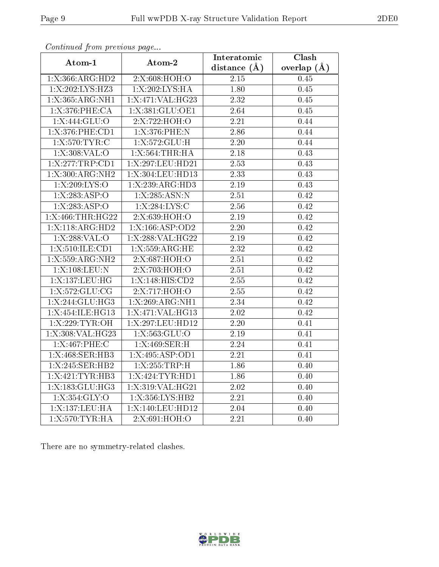| contentable provisions page |                   | Interatomic       | $\overline{\text{Clash}}$ |
|-----------------------------|-------------------|-------------------|---------------------------|
| Atom-1                      | Atom-2            | distance $(A)$    | overlap $(A)$             |
| 1:X:366:ARG:HD2             | 2:X:608:HOH:O     | 2.15              | 0.45                      |
| 1:X:202:LYS:HZ3             | 1:X:202:LYS:HA    | 1.80              | 0.45                      |
| 1:X:365:ARG:NH1             | 1:X:471:VAL:HG23  | 2.32              | 0.45                      |
| 1: X:376: PHE:CA            | 1:X:381:GLU:OE1   | 2.64              | 0.45                      |
| 1:X:444:GLU:O               | 2:X:722:HOH:O     | 2.21              | 0.44                      |
| 1:X:376:PHE:CD1             | 1:X:376:PHE:N     | 2.86              | 0.44                      |
| 1:X:570:TYR:C               | 1: X: 572: GLU: H | 2.20              | 0.44                      |
| 1: X:308: VAL:O             | 1:X:564:THR:HA    | 2.18              | 0.43                      |
| 1:X:277:TRP:CD1             | 1:X:297:LEU:HD21  | 2.53              | 0.43                      |
| 1:X:300:ARG:NH2             | 1:X:304:LEU:HD13  | 2.33              | 0.43                      |
| 1:X:209:LYS:O               | 1:X:239:ARG:HD3   | 2.19              | 0.43                      |
| 1:X:283:ASP:O               | 1:X:285:ASN:N     | $\overline{2.51}$ | 0.42                      |
| 1:X:283:ASP:O               | 1:X:284:LYS:C     | 2.56              | 0.42                      |
| 1:X:466:THR:HG22            | 2:X:639:HOH:O     | $\overline{2}.19$ | 0.42                      |
| 1:X:118:ARG:HD2             | 1:X:166:ASP:OD2   | 2.20              | 0.42                      |
| 1: X: 288: VAL: O           | 1:X:288:VAL:HG22  | 2.19              | 0.42                      |
| 1:X:510:ILE:CD1             | 1:X:559:ARG:HE    | 2.32              | 0.42                      |
| 1:X:559:ARG:NH2             | 2:X:687:HOH:O     | 2.51              | 0.42                      |
| 1:X:108:LEU:N               | 2:X:703:HOH:O     | 2.51              | 0.42                      |
| 1:X:137:LEU:HG              | 1:X:148:HIS:CD2   | 2.55              | 0.42                      |
| 1:X:572:GLU:CG              | 2:X:717:HOH:O     | 2.55              | 0.42                      |
| 1:X:244:GLU:HG3             | 1:X:269:ARG:NH1   | 2.34              | 0.42                      |
| 1:X:454:ILE:HG13            | 1:X:471:VAL:HG13  | 2.02              | 0.42                      |
| 1:X:229:TYR:OH              | 1:X:297:LEU:HD12  | 2.20              | 0.41                      |
| 1:X:308:VAL:HG23            | 1: X: 563: GLU:O  | 2.19              | 0.41                      |
| 1:X:467:PHE:C               | 1:X:469:SER:H     | 2.24              | 0.41                      |
| 1:X:468:SER:HB3             | 1:X:495:ASP:OD1   | 2.21              | 0.41                      |
| 1:X:245:SER:HB2             | 1:X:255:TRP:H     | 1.86              | 0.40                      |
| 1:X:421:TYR:HB3             | 1:X:424:TYR:HD1   | 1.86              | 0.40                      |
| 1:X:183:GLU:HG3             | 1:X:319:VAL:HG21  | 2.02              | 0.40                      |
| 1:X:354:GLY:O               | 1:X:356:LYS:HB2   | 2.21              | 0.40                      |
| 1:X:137:LEU:HA              | 1:X:140:LEU:HD12  | 2.04              | 0.40                      |
| 1: X:570: TYR: HA           | 2:X:691:HOH:O     | 2.21              | 0.40                      |

Continued from previous page...

There are no symmetry-related clashes.

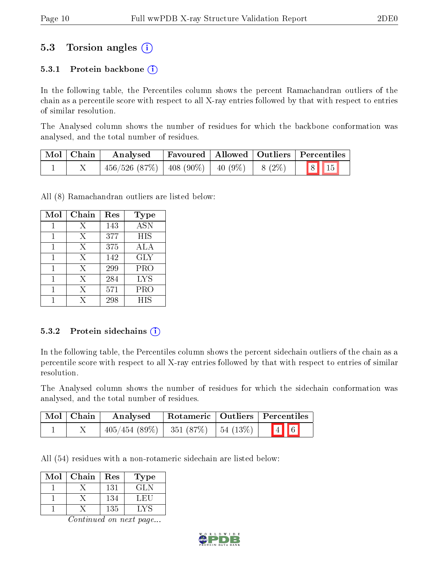## 5.3 Torsion angles (i)

#### 5.3.1 Protein backbone  $(i)$

In the following table, the Percentiles column shows the percent Ramachandran outliers of the chain as a percentile score with respect to all X-ray entries followed by that with respect to entries of similar resolution.

The Analysed column shows the number of residues for which the backbone conformation was analysed, and the total number of residues.

| Mol   Chain | Analysed                                                         |  | Favoured   Allowed   Outliers   Percentiles |
|-------------|------------------------------------------------------------------|--|---------------------------------------------|
|             | $456/526$ $(87\%)$   $408$ $(90\%)$   $40$ $(9\%)$   $8$ $(2\%)$ |  | 8 15                                        |

All (8) Ramachandran outliers are listed below:

| Mol | Chain | Res | Type             |
|-----|-------|-----|------------------|
|     | Х     | 143 | $\overline{ASN}$ |
| 1   | X     | 377 | <b>HIS</b>       |
| 1   | X     | 375 | ALA              |
| 1   | X     | 142 | <b>GLY</b>       |
|     | X     | 299 | PRO              |
|     | X     | 284 | <b>LYS</b>       |
|     | Х     | 571 | PRO              |
|     | X     | 298 | <b>HIS</b>       |

#### 5.3.2 Protein sidechains  $(i)$

In the following table, the Percentiles column shows the percent sidechain outliers of the chain as a percentile score with respect to all X-ray entries followed by that with respect to entries of similar resolution.

The Analysed column shows the number of residues for which the sidechain conformation was analysed, and the total number of residues.

| $\mid$ Mol $\mid$ Chain $\mid$ | Analysed                                  |  | Rotameric   Outliers   Percentiles |
|--------------------------------|-------------------------------------------|--|------------------------------------|
|                                | $405/454$ (89\%)   351 (87\%)   54 (13\%) |  | $\boxed{4}$ 6                      |

All (54) residues with a non-rotameric sidechain are listed below:

| Mol | Chain | Res | Type |
|-----|-------|-----|------|
|     |       | 131 | GL N |
|     |       | 134 | LET. |
|     |       | 135 | ∟V⊆  |

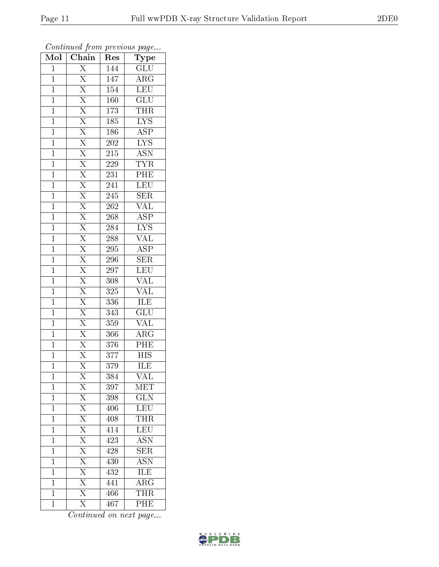| Mol            | $\overline{\text{Chain}}$           | Res              | Type                      |
|----------------|-------------------------------------|------------------|---------------------------|
| $\mathbf{1}$   | $\overline{\mathrm{X}}$             | 144              | $\overline{\text{GLU}}$   |
| $\overline{1}$ | $\overline{\mathrm{X}}$             | 147              | $\rm{ARG}$                |
| $\mathbf{1}$   | $\overline{\mathrm{X}}$             | 154              | $\overline{\text{LEU}}$   |
| $\mathbf{1}$   | $\overline{X}$                      | 160              | GLU                       |
| $\mathbf{1}$   | $\overline{X}$                      | 173              | THR                       |
| $\mathbf{1}$   | $\overline{\mathrm{X}}$             | 185              | $\overline{LYS}$          |
| $\mathbf{1}$   | $\overline{\mathrm{X}}$             | 186              | $\overline{\text{ASP}}$   |
| $\mathbf{1}$   | $\overline{X}$                      | 202              | $\overline{\text{LYS}}$   |
| $\mathbf{1}$   | $\frac{X}{X}$                       | 215              | <b>ASN</b>                |
| $\mathbf 1$    |                                     | 229              | <b>TYR</b>                |
| $\overline{1}$ | $\overline{X}$                      | 231              | PHE                       |
| $\mathbf{1}$   | $\overline{X}$                      | 241              | $\overline{\text{LEU}}$   |
| $\mathbf{1}$   | $\overline{X}$                      | 245              | $\overline{\text{SER}}$   |
| $\mathbf{1}$   | $\overline{\text{X}}$               | $\overline{262}$ | $\overline{\text{VAL}}$   |
| $\overline{1}$ | $\overline{\mathrm{X}}$             | 268              | $\overline{\text{ASP}}$   |
| $\mathbf{1}$   | $\overline{\mathrm{X}}$             | 284              | $\overline{\text{LYS}}$   |
| $\overline{1}$ | $\overline{\mathrm{X}}$             | 288              | $\overline{\text{VAL}}$   |
| $\mathbf{1}$   | $\overline{\mathrm{X}}$             | 295              | ASP                       |
| $\mathbf 1$    | $\overline{\mathrm{X}}$             | 296              | $\overline{\text{SER}}$   |
| $\mathbf 1$    | $\overline{\mathrm{X}}$             | 297              | $\overline{\text{LEU}}$   |
| $\mathbf{1}$   | $\overline{\mathrm{X}}$             | 308              | VAL                       |
| $\mathbf 1$    | $\overline{\mathrm{X}}$             | 325              | $\overline{\text{VAL}}$   |
| $\mathbf 1$    | $\overline{X}$                      | 336              | ILE                       |
| $\mathbf{1}$   | $\overline{\mathrm{X}}$             | 343              | $\overline{{\rm GLU}}$    |
| $\mathbf{1}$   | $\overline{\mathrm{X}}$             | 359              | <b>VAL</b>                |
| $\mathbf{1}$   | $\overline{\mathrm{X}}$             | 366              | $\overline{\rm{ARG}}$     |
| $\mathbf{1}$   | $\frac{\overline{X}}{\overline{X}}$ | $\overline{376}$ | PHE                       |
| $\mathbf{1}$   |                                     | 377              | <b>HIS</b>                |
| $\mathbf 1$    | $\overline{\mathrm{X}}$             | 379              | $\overline{\text{ILE}}$   |
| $\mathbf 1$    | X                                   | 384              | VAL                       |
| $\mathbf{1}$   | $\overline{\mathrm{X}}$             | 397              | $\operatorname{MET}$      |
| $\mathbf{1}$   | $\frac{\overline{X}}{\overline{X}}$ | 398              | $\overline{\text{GLN}}$   |
| 1              |                                     | 406              | LEU                       |
| $\mathbf 1$    |                                     | 408              | <b>THR</b>                |
| $\mathbf 1$    | $\overline{X}$                      | 414              | LEU                       |
| $\mathbf 1$    | $\frac{\overline{X}}{\overline{X}}$ | 423              | $\overline{\mathrm{ASN}}$ |
| $\mathbf 1$    |                                     | 428              | <b>SER</b>                |
| $\mathbf{1}$   | $\overline{X}$                      | 430              | $\overline{\mathrm{ASN}}$ |
| 1              | $\overline{\mathrm{X}}$             | 432              | $\overline{\rm ILE}$      |
| $\mathbf{1}$   | $\overline{X}$                      | 441              | $\overline{\rm{ARG}}$     |
| $\mathbf{1}$   | $\overline{\mathrm{X}}$             | 466              | <b>THR</b>                |
| $\mathbf{1}$   | $\overline{\mathrm{X}}$             | 467              | PHE                       |

Continued from previous page...

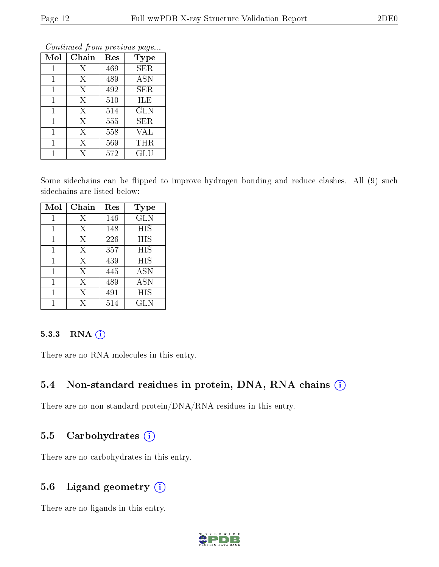| Mol | Chain | Res | <b>Type</b>          |
|-----|-------|-----|----------------------|
| 1   | Х     | 469 | SER                  |
| 1   | X     | 489 | <b>ASN</b>           |
| 1   | X     | 492 | SER                  |
| 1   | X     | 510 | ILE                  |
| 1   | X     | 514 | <b>GLN</b>           |
| 1   | X     | 555 | <b>SER</b>           |
| 1   | X     | 558 | <b>VAL</b>           |
| 1   | X     | 569 | THR                  |
|     | X     | 572 | $\operatorname{GLU}$ |

Continued from previous page.

Some sidechains can be flipped to improve hydrogen bonding and reduce clashes. All (9) such sidechains are listed below:

| Mol | Chain | Res | <b>Type</b> |
|-----|-------|-----|-------------|
| 1   | Х     | 146 | <b>GLN</b>  |
| 1   | Χ     | 148 | HIS         |
|     | Х     | 226 | HIS         |
|     | X     | 357 | ΗIS         |
| 1   | X     | 439 | HIS         |
| 1   | X     | 445 | <b>ASN</b>  |
|     | Χ     | 489 | <b>ASN</b>  |
|     | Х     | 491 | ΗIS         |
|     | X     | 514 | GLN         |

#### 5.3.3 RNA (i)

There are no RNA molecules in this entry.

### 5.4 Non-standard residues in protein, DNA, RNA chains (i)

There are no non-standard protein/DNA/RNA residues in this entry.

#### 5.5 Carbohydrates  $(i)$

There are no carbohydrates in this entry.

### 5.6 Ligand geometry  $(i)$

There are no ligands in this entry.

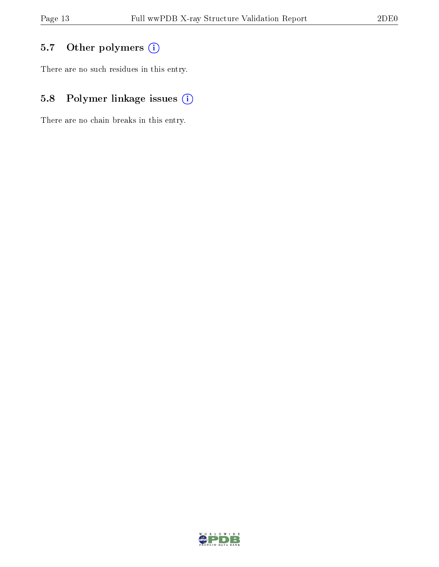## 5.7 [O](https://www.wwpdb.org/validation/2017/XrayValidationReportHelp#nonstandard_residues_and_ligands)ther polymers (i)

There are no such residues in this entry.

## 5.8 Polymer linkage issues (i)

There are no chain breaks in this entry.